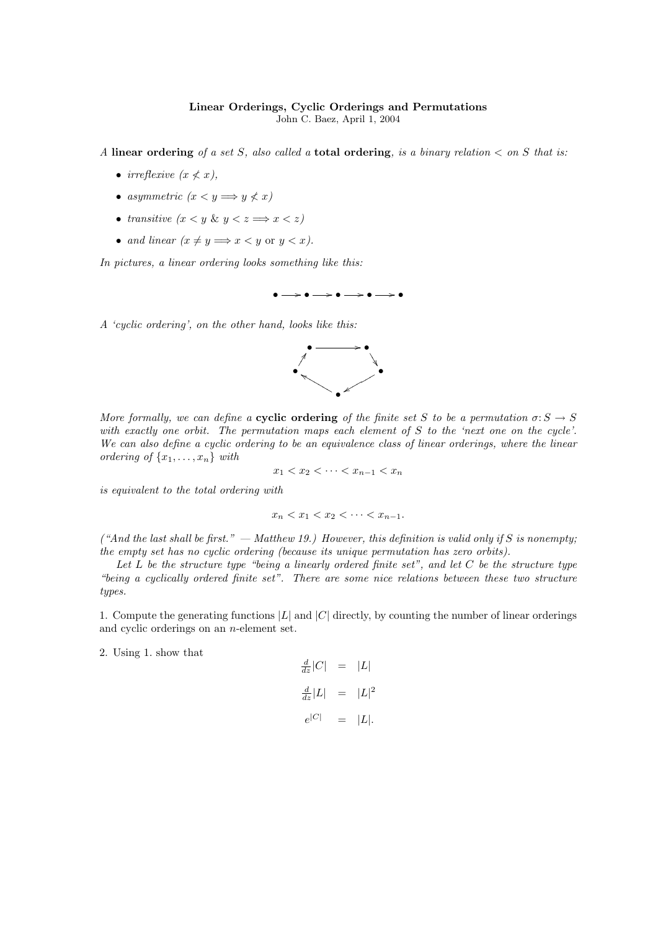## Linear Orderings, Cyclic Orderings and Permutations John C. Baez, April 1, 2004

A linear ordering of a set S, also called a total ordering, is a binary relation  $\lt$  on S that is:

- irreflexive  $(x \nless x)$ ,
- asymmetric  $(x < y \Longrightarrow y \nless x)$
- transitive  $(x < y \& y < z \Longrightarrow x < z)$
- and linear  $(x \neq y \Longrightarrow x < y$  or  $y < x$ ).

In pictures, a linear ordering looks something like this:



A 'cyclic ordering', on the other hand, looks like this:



More formally, we can define a **cyclic ordering** of the finite set S to be a permutation  $\sigma: S \to S$ with exactly one orbit. The permutation maps each element of S to the 'next one on the cycle'. We can also define a cyclic ordering to be an equivalence class of linear orderings, where the linear ordering of  $\{x_1, \ldots, x_n\}$  with

$$
x_1 < x_2 < \cdots < x_{n-1} < x_n
$$

is equivalent to the total ordering with

$$
x_n < x_1 < x_2 < \dots < x_{n-1}.
$$

("And the last shall be first." — Matthew 19.) However, this definition is valid only if S is nonempty; the empty set has no cyclic ordering (because its unique permutation has zero orbits).

Let  $L$  be the structure type "being a linearly ordered finite set", and let  $C$  be the structure type "being a cyclically ordered finite set". There are some nice relations between these two structure types.

1. Compute the generating functions  $|L|$  and  $|C|$  directly, by counting the number of linear orderings and cyclic orderings on an n-element set.

2. Using 1. show that

 $\frac{d}{dz}|C| = |L|$  $\frac{d}{dz}|L| = |L|^2$  $e^{|C|} = |L|.$